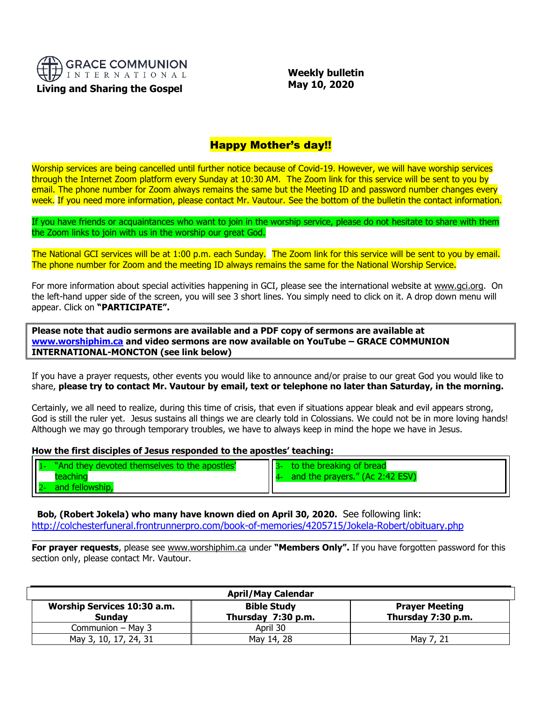

 **Weekly bulletin May 10, 2020**

# Happy Mother's day!!

Worship services are being cancelled until further notice because of Covid-19. However, we will have worship services through the Internet Zoom platform every Sunday at 10:30 AM. The Zoom link for this service will be sent to you by email. The phone number for Zoom always remains the same but the Meeting ID and password number changes every week. If you need more information, please contact Mr. Vautour. See the bottom of the bulletin the contact information.

If you have friends or acquaintances who want to join in the worship service, please do not hesitate to share with them the Zoom links to join with us in the worship our great God.

The National GCI services will be at 1:00 p.m. each Sunday. The Zoom link for this service will be sent to you by email. The phone number for Zoom and the meeting ID always remains the same for the National Worship Service.

For more information about special activities happening in GCI, please see the international website at [www.gci.org.](http://www.gci.org/) On the left-hand upper side of the screen, you will see 3 short lines. You simply need to click on it. A drop down menu will appear. Click on **"PARTICIPATE".** 

**Please note that audio sermons are available and a PDF copy of sermons are available at [www.worshiphim.ca](http://www.worshiphim.ca/) and video sermons are now available on YouTube – GRACE COMMUNION INTERNATIONAL-MONCTON (see link below)**

If you have a prayer requests, other events you would like to announce and/or praise to our great God you would like to share, **please try to contact Mr. Vautour by email, text or telephone no later than Saturday, in the morning.**

Certainly, we all need to realize, during this time of crisis, that even if situations appear bleak and evil appears strong, God is still the ruler yet. Jesus sustains all things we are clearly told in Colossians. We could not be in more loving hands! Although we may go through temporary troubles, we have to always keep in mind the hope we have in Jesus.

#### **How the first disciples of Jesus responded to the apostles' teaching:**

| $\prod$<br>"And they devoted themselves to the apostles" | to the breaking of bread        |
|----------------------------------------------------------|---------------------------------|
|                                                          | and the prayers." (Ac 2:42 ESV) |
| $\mathsf{l}$<br>and fellowship,                          |                                 |

**Bob, (Robert Jokela) who many have known died on April 30, 2020.** See following link: <http://colchesterfuneral.frontrunnerpro.com/book-of-memories/4205715/Jokela-Robert/obituary.php>

\_\_\_\_\_\_\_\_\_\_\_\_\_\_\_\_\_\_\_\_\_\_\_\_\_\_\_\_\_\_\_\_\_\_\_\_\_\_\_\_\_\_\_\_\_\_\_\_\_\_\_\_\_\_\_\_\_\_\_\_\_\_\_\_\_\_\_\_\_\_\_\_\_\_\_\_\_\_\_\_\_\_\_\_

**For prayer requests**, please see [www.worshiphim.ca](http://www.worshiphim.ca/) under **"Members Only".** If you have forgotten password for this section only, please contact Mr. Vautour.

| <b>April/May Calendar</b> |                                                     |                                          |                                             |
|---------------------------|-----------------------------------------------------|------------------------------------------|---------------------------------------------|
|                           | <b>Worship Services 10:30 a.m.</b><br><b>Sunday</b> | <b>Bible Study</b><br>Thursday 7:30 p.m. | <b>Prayer Meeting</b><br>Thursday 7:30 p.m. |
|                           | Communion - May 3                                   | April 30                                 |                                             |
|                           | May 3, 10, 17, 24, 31                               | May 14, 28                               | May 7, 21                                   |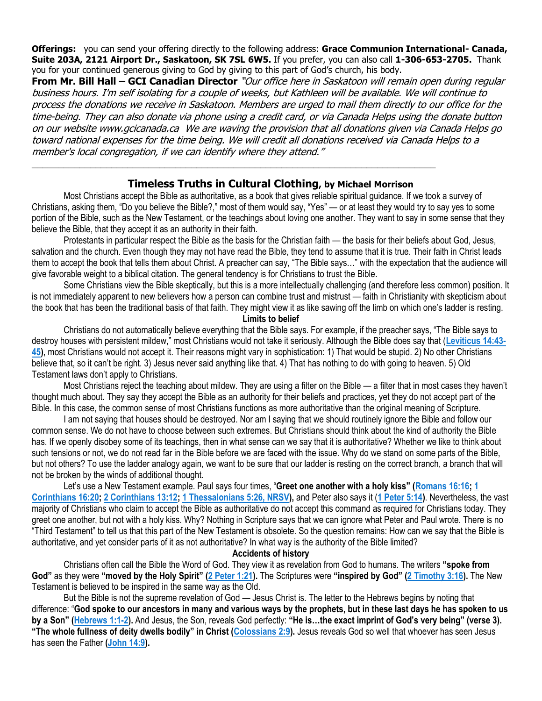**Offerings:** you can send your offering directly to the following address: **Grace Communion International- Canada, Suite 203A, 2121 Airport Dr., Saskatoon, SK 7SL 6W5.** If you prefer, you can also call **1-306-653-2705.** Thank you for your continued generous giving to God by giving to this part of God's church, his body.

**From Mr. Bill Hall – GCI Canadian Director** "Our office here in Saskatoon will remain open during regular business hours. I'm self isolating for a couple of weeks, but Kathleen will be available. We will continue to process the donations we receive in Saskatoon. Members are urged to mail them directly to our office for the time-being. They can also donate via phone using a credit card, or via Canada Helps using the donate button on our websit[e www.gcicanada.ca](https://eur03.safelinks.protection.outlook.com/?url=http%3A%2F%2Fwww.gcicanada.ca%2F&data=02%7C01%7C%7C9fd93e29c2b44509e5a008d7caa78fdb%7C84df9e7fe9f640afb435aaaaaaaaaaaa%7C1%7C0%7C637200693331983394&sdata=VAGy4Q%2BxbhHuYaeEiDz%2FQyicT%2FoiY4Ir9kc8w5yHRPs%3D&reserved=0) We are waving the provision that all donations given via Canada Helps go toward national expenses for the time being. We will credit all donations received via Canada Helps to a member's local congregation, if we can identify where they attend."

## **Timeless Truths in Cultural Clothing, by Michael Morrison**

\_\_\_\_\_\_\_\_\_\_\_\_\_\_\_\_\_\_\_\_\_\_\_\_\_\_\_\_\_\_\_\_\_\_\_\_\_\_\_\_\_\_\_\_\_\_\_\_\_\_\_\_\_\_\_\_\_\_\_\_\_\_\_\_\_\_\_\_\_\_\_\_\_\_\_\_

Most Christians accept the Bible as authoritative, as a book that gives reliable spiritual guidance. If we took a survey of Christians, asking them, "Do you believe the Bible?," most of them would say, "Yes" — or at least they would try to say yes to some portion of the Bible, such as the New Testament, or the teachings about loving one another. They want to say in some sense that they believe the Bible, that they accept it as an authority in their faith.

Protestants in particular respect the Bible as the basis for the Christian faith — the basis for their beliefs about God, Jesus, salvation and the church. Even though they may not have read the Bible, they tend to assume that it is true. Their faith in Christ leads them to accept the book that tells them about Christ. A preacher can say, "The Bible says…" with the expectation that the audience will give favorable weight to a biblical citation. The general tendency is for Christians to trust the Bible.

Some Christians view the Bible skeptically, but this is a more intellectually challenging (and therefore less common) position. It is not immediately apparent to new believers how a person can combine trust and mistrust — faith in Christianity with skepticism about the book that has been the traditional basis of that faith. They might view it as like sawing off the limb on which one's ladder is resting.

#### **Limits to belief**

Christians do not automatically believe everything that the Bible says. For example, if the preacher says, "The Bible says to destroy houses with persistent mildew," most Christians would not take it seriously. Although the Bible does say that (**[Leviticus 14:43-](https://biblia.com/bible/niv/Lev%2014.43-45) [45\)](https://biblia.com/bible/niv/Lev%2014.43-45)**, most Christians would not accept it. Their reasons might vary in sophistication: 1) That would be stupid. 2) No other Christians believe that, so it can't be right. 3) Jesus never said anything like that. 4) That has nothing to do with going to heaven. 5) Old Testament laws don't apply to Christians.

Most Christians reject the teaching about mildew. They are using a filter on the Bible — a filter that in most cases they haven't thought much about. They say they accept the Bible as an authority for their beliefs and practices, yet they do not accept part of the Bible. In this case, the common sense of most Christians functions as more authoritative than the original meaning of Scripture.

I am not saying that houses should be destroyed. Nor am I saying that we should routinely ignore the Bible and follow our common sense. We do not have to choose between such extremes. But Christians should think about the kind of authority the Bible has. If we openly disobey some of its teachings, then in what sense can we say that it is authoritative? Whether we like to think about such tensions or not, we do not read far in the Bible before we are faced with the issue. Why do we stand on some parts of the Bible, but not others? To use the ladder analogy again, we want to be sure that our ladder is resting on the correct branch, a branch that will not be broken by the winds of additional thought.

Let's use a New Testament example. Paul says four times, "**Greet one another with a holy kiss" ([Romans 16:16;](https://biblia.com/bible/niv/Rom%2016.16) [1](https://biblia.com/bible/niv/1%20Cor%2016.20)  [Corinthians 16:20;](https://biblia.com/bible/niv/1%20Cor%2016.20) [2 Corinthians 13:12;](https://biblia.com/bible/niv/2%20Cor%2013.12) [1 Thessalonians 5:26, NRSV\)](https://biblia.com/bible/nrsv/1%20Thess%205.26),** and Peter also says it (**[1 Peter 5:14\)](https://biblia.com/bible/niv/1%20Pet%205.14)**. Nevertheless, the vast majority of Christians who claim to accept the Bible as authoritative do not accept this command as required for Christians today. They greet one another, but not with a holy kiss. Why? Nothing in Scripture says that we can ignore what Peter and Paul wrote. There is no "Third Testament" to tell us that this part of the New Testament is obsolete. So the question remains: How can we say that the Bible is authoritative, and yet consider parts of it as not authoritative? In what way is the authority of the Bible limited?

### **Accidents of history**

Christians often call the Bible the Word of God. They view it as revelation from God to humans. The writers **"spoke from God"** as they were **"moved by the Holy Spirit" [\(2 Peter 1:21\)](https://biblia.com/bible/niv/2%20Pet%201.21).** The Scriptures were **"inspired by God" [\(2 Timothy 3:16\)](https://biblia.com/bible/niv/2%20Tim%203.16).** The New Testament is believed to be inspired in the same way as the Old.

But the Bible is not the supreme revelation of God — Jesus Christ is. The letter to the Hebrews begins by noting that difference: "**God spoke to our ancestors in many and various ways by the prophets, but in these last days he has spoken to us by a Son" ([Hebrews 1:1-2\)](https://biblia.com/bible/niv/Heb%201.1-2).** And Jesus, the Son, reveals God perfectly: **"He is…the exact imprint of God's very being" (verse 3). "The whole fullness of deity dwells bodily" in Christ ([Colossians 2:9\)](https://biblia.com/bible/niv/Col%202.9).** Jesus reveals God so well that whoever has seen Jesus has seen the Father **[\(John 14:9\)](https://biblia.com/bible/niv/John%2014.9).**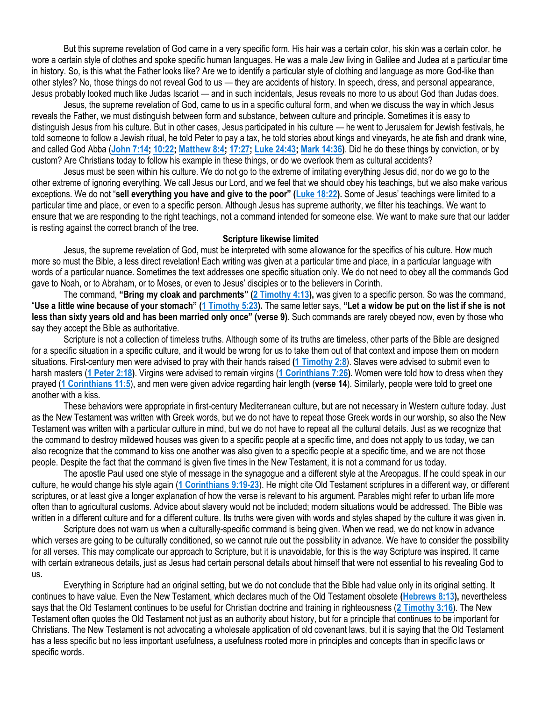But this supreme revelation of God came in a very specific form. His hair was a certain color, his skin was a certain color, he wore a certain style of clothes and spoke specific human languages. He was a male Jew living in Galilee and Judea at a particular time in history. So, is this what the Father looks like? Are we to identify a particular style of clothing and language as more God-like than other styles? No, those things do not reveal God to us — they are accidents of history. In speech, dress, and personal appearance, Jesus probably looked much like Judas Iscariot — and in such incidentals, Jesus reveals no more to us about God than Judas does.

Jesus, the supreme revelation of God, came to us in a specific cultural form, and when we discuss the way in which Jesus reveals the Father, we must distinguish between form and substance, between culture and principle. Sometimes it is easy to distinguish Jesus from his culture. But in other cases, Jesus participated in his culture — he went to Jerusalem for Jewish festivals, he told someone to follow a Jewish ritual, he told Peter to pay a tax, he told stories about kings and vineyards, he ate fish and drank wine, and called God Abba (**[John 7:14;](https://biblia.com/bible/niv/John%207.14) [10:22;](https://biblia.com/bible/niv/John%2010.22) [Matthew 8:4;](https://biblia.com/bible/niv/Matt%208.4) [17:27;](https://biblia.com/bible/niv/Matthew%2017.27) [Luke 24:43;](https://biblia.com/bible/niv/Luke%2024.43) [Mark 14:36\)](https://biblia.com/bible/niv/Mark%2014.36)**. Did he do these things by conviction, or by custom? Are Christians today to follow his example in these things, or do we overlook them as cultural accidents?

Jesus must be seen within his culture. We do not go to the extreme of imitating everything Jesus did, nor do we go to the other extreme of ignoring everything. We call Jesus our Lord, and we feel that we should obey his teachings, but we also make various exceptions. We do not "**sell everything you have and give to the poor" ([Luke 18:22\)](https://biblia.com/bible/niv/Luke%2018.22).** Some of Jesus' teachings were limited to a particular time and place, or even to a specific person. Although Jesus has supreme authority, we filter his teachings. We want to ensure that we are responding to the right teachings, not a command intended for someone else. We want to make sure that our ladder is resting against the correct branch of the tree.

#### **Scripture likewise limited**

Jesus, the supreme revelation of God, must be interpreted with some allowance for the specifics of his culture. How much more so must the Bible, a less direct revelation! Each writing was given at a particular time and place, in a particular language with words of a particular nuance. Sometimes the text addresses one specific situation only. We do not need to obey all the commands God gave to Noah, or to Abraham, or to Moses, or even to Jesus' disciples or to the believers in Corinth.

The command, **"Bring my cloak and parchments" ([2 Timothy 4:13\)](https://biblia.com/bible/niv/2%20Tim%204.13),** was given to a specific person. So was the command, "**Use a little wine because of your stomach" ([1 Timothy 5:23\)](https://biblia.com/bible/niv/1%20Tim%205.23).** The same letter says, **"Let a widow be put on the list if she is not less than sixty years old and has been married only once" (verse 9).** Such commands are rarely obeyed now, even by those who say they accept the Bible as authoritative.

Scripture is not a collection of timeless truths. Although some of its truths are timeless, other parts of the Bible are designed for a specific situation in a specific culture, and it would be wrong for us to take them out of that context and impose them on modern situations. First-century men were advised to pray with their hands raised **[\(1 Timothy 2:8](https://biblia.com/bible/niv/1%20Tim%202.8)**). Slaves were advised to submit even to harsh masters (**[1 Peter 2:18\)](https://biblia.com/bible/niv/1%20Pet%202.18)**. Virgins were advised to remain virgins (**[1 Corinthians 7:26\)](https://biblia.com/bible/niv/1%20Cor%207.26)**. Women were told how to dress when they prayed (**[1 Corinthians 11:5](https://biblia.com/bible/niv/1%20Cor%2011.5)**), and men were given advice regarding hair length (**verse 14**). Similarly, people were told to greet one another with a kiss.

These behaviors were appropriate in first-century Mediterranean culture, but are not necessary in Western culture today. Just as the New Testament was written with Greek words, but we do not have to repeat those Greek words in our worship, so also the New Testament was written with a particular culture in mind, but we do not have to repeat all the cultural details. Just as we recognize that the command to destroy mildewed houses was given to a specific people at a specific time, and does not apply to us today, we can also recognize that the command to kiss one another was also given to a specific people at a specific time, and we are not those people. Despite the fact that the command is given five times in the New Testament, it is not a command for us today.

The apostle Paul used one style of message in the synagogue and a different style at the Areopagus. If he could speak in our culture, he would change his style again (**[1 Corinthians 9:19-23](https://biblia.com/bible/niv/1%20Cor%209.19-23)**). He might cite Old Testament scriptures in a different way, or different scriptures, or at least give a longer explanation of how the verse is relevant to his argument. Parables might refer to urban life more often than to agricultural customs. Advice about slavery would not be included; modern situations would be addressed. The Bible was written in a different culture and for a different culture. Its truths were given with words and styles shaped by the culture it was given in.

Scripture does not warn us when a culturally-specific command is being given. When we read, we do not know in advance which verses are going to be culturally conditioned, so we cannot rule out the possibility in advance. We have to consider the possibility for all verses. This may complicate our approach to Scripture, but it is unavoidable, for this is the way Scripture was inspired. It came with certain extraneous details, just as Jesus had certain personal details about himself that were not essential to his revealing God to us.

Everything in Scripture had an original setting, but we do not conclude that the Bible had value only in its original setting. It continues to have value. Even the New Testament, which declares much of the Old Testament obsolete **[\(Hebrews 8:13\)](https://biblia.com/bible/niv/Heb%208.13),** nevertheless says that the Old Testament continues to be useful for Christian doctrine and training in righteousness (**[2 Timothy](https://biblia.com/bible/niv/2%20Tim%203.16) 3:16**). The New Testament often quotes the Old Testament not just as an authority about history, but for a principle that continues to be important for Christians. The New Testament is not advocating a wholesale application of old covenant laws, but it is saying that the Old Testament has a less specific but no less important usefulness, a usefulness rooted more in principles and concepts than in specific laws or specific words.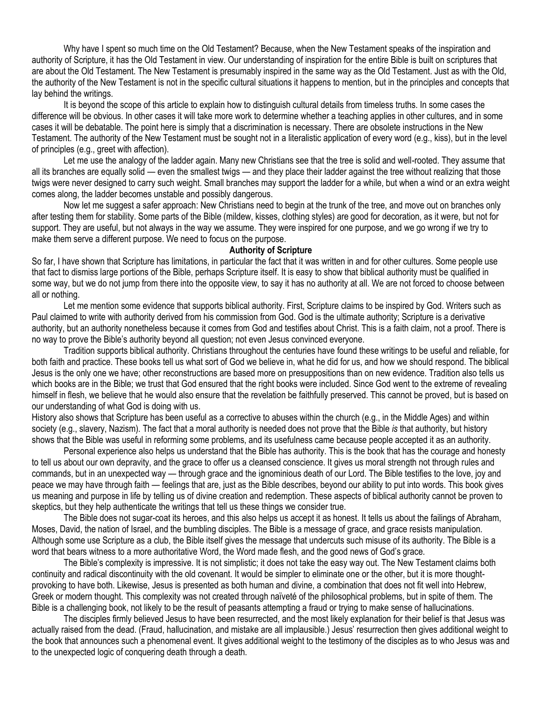Why have I spent so much time on the Old Testament? Because, when the New Testament speaks of the inspiration and authority of Scripture, it has the Old Testament in view. Our understanding of inspiration for the entire Bible is built on scriptures that are about the Old Testament. The New Testament is presumably inspired in the same way as the Old Testament. Just as with the Old, the authority of the New Testament is not in the specific cultural situations it happens to mention, but in the principles and concepts that lay behind the writings.

It is beyond the scope of this article to explain how to distinguish cultural details from timeless truths. In some cases the difference will be obvious. In other cases it will take more work to determine whether a teaching applies in other cultures, and in some cases it will be debatable. The point here is simply that a discrimination is necessary. There are obsolete instructions in the New Testament. The authority of the New Testament must be sought not in a literalistic application of every word (e.g., kiss), but in the level of principles (e.g., greet with affection).

Let me use the analogy of the ladder again. Many new Christians see that the tree is solid and well-rooted. They assume that all its branches are equally solid — even the smallest twigs — and they place their ladder against the tree without realizing that those twigs were never designed to carry such weight. Small branches may support the ladder for a while, but when a wind or an extra weight comes along, the ladder becomes unstable and possibly dangerous.

Now let me suggest a safer approach: New Christians need to begin at the trunk of the tree, and move out on branches only after testing them for stability. Some parts of the Bible (mildew, kisses, clothing styles) are good for decoration, as it were, but not for support. They are useful, but not always in the way we assume. They were inspired for one purpose, and we go wrong if we try to make them serve a different purpose. We need to focus on the purpose.

#### **Authority of Scripture**

So far, I have shown that Scripture has limitations, in particular the fact that it was written in and for other cultures. Some people use that fact to dismiss large portions of the Bible, perhaps Scripture itself. It is easy to show that biblical authority must be qualified in some way, but we do not jump from there into the opposite view, to say it has no authority at all. We are not forced to choose between all or nothing.

Let me mention some evidence that supports biblical authority. First, Scripture claims to be inspired by God. Writers such as Paul claimed to write with authority derived from his commission from God. God is the ultimate authority; Scripture is a derivative authority, but an authority nonetheless because it comes from God and testifies about Christ. This is a faith claim, not a proof. There is no way to prove the Bible's authority beyond all question; not even Jesus convinced everyone.

Tradition supports biblical authority. Christians throughout the centuries have found these writings to be useful and reliable, for both faith and practice. These books tell us what sort of God we believe in, what he did for us, and how we should respond. The biblical Jesus is the only one we have; other reconstructions are based more on presuppositions than on new evidence. Tradition also tells us which books are in the Bible; we trust that God ensured that the right books were included. Since God went to the extreme of revealing himself in flesh, we believe that he would also ensure that the revelation be faithfully preserved. This cannot be proved, but is based on our understanding of what God is doing with us.

History also shows that Scripture has been useful as a corrective to abuses within the church (e.g., in the Middle Ages) and within society (e.g., slavery, Nazism). The fact that a moral authority is needed does not prove that the Bible *is* that authority, but history shows that the Bible was useful in reforming some problems, and its usefulness came because people accepted it as an authority.

Personal experience also helps us understand that the Bible has authority. This is the book that has the courage and honesty to tell us about our own depravity, and the grace to offer us a cleansed conscience. It gives us moral strength not through rules and commands, but in an unexpected way — through grace and the ignominious death of our Lord. The Bible testifies to the love, joy and peace we may have through faith — feelings that are, just as the Bible describes, beyond our ability to put into words. This book gives us meaning and purpose in life by telling us of divine creation and redemption. These aspects of biblical authority cannot be proven to skeptics, but they help authenticate the writings that tell us these things we consider true.

The Bible does not sugar-coat its heroes, and this also helps us accept it as honest. It tells us about the failings of Abraham, Moses, David, the nation of Israel, and the bumbling disciples. The Bible is a message of grace, and grace resists manipulation. Although some use Scripture as a club, the Bible itself gives the message that undercuts such misuse of its authority. The Bible is a word that bears witness to a more authoritative Word, the Word made flesh, and the good news of God's grace.

The Bible's complexity is impressive. It is not simplistic; it does not take the easy way out. The New Testament claims both continuity and radical discontinuity with the old covenant. It would be simpler to eliminate one or the other, but it is more thoughtprovoking to have both. Likewise, Jesus is presented as both human and divine, a combination that does not fit well into Hebrew, Greek or modern thought. This complexity was not created through naïveté of the philosophical problems, but in spite of them. The Bible is a challenging book, not likely to be the result of peasants attempting a fraud or trying to make sense of hallucinations.

The disciples firmly believed Jesus to have been resurrected, and the most likely explanation for their belief is that Jesus was actually raised from the dead. (Fraud, hallucination, and mistake are all implausible.) Jesus' resurrection then gives additional weight to the book that announces such a phenomenal event. It gives additional weight to the testimony of the disciples as to who Jesus was and to the unexpected logic of conquering death through a death.